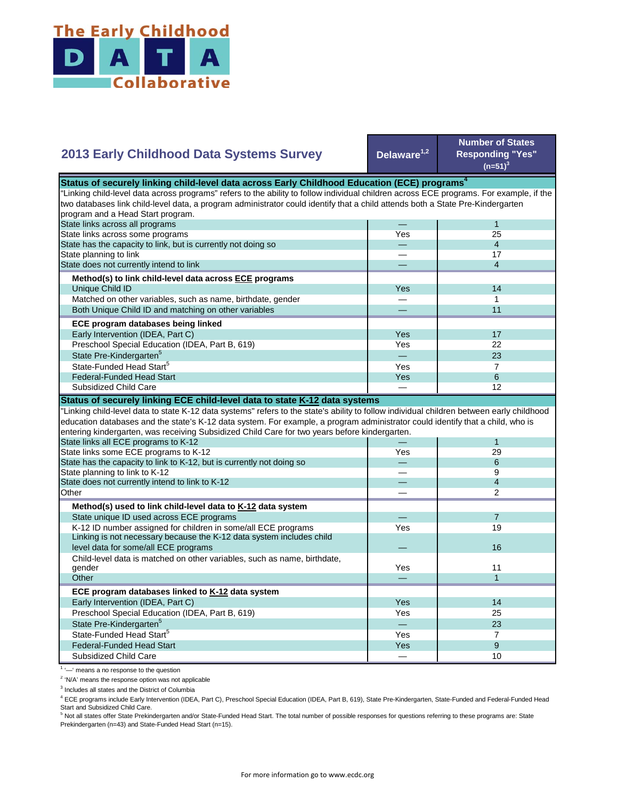

## **Delaware1,2 Number of States Responding "Yes"**   $(n=51)^{3}$ — 1 Yes 25 — 4 — 17 — 4 Yes **I** 14 — 1 — 11 Yes I 17 Yes **I** 22 — 23 Yes 7 State Pre-Kindergarten<sup>5</sup> State-Funded Head Start<sup>5</sup> Matched on other variables, such as name, birthdate, gender Both Unique Child ID and matching on other variables  **ECE program databases being linked**  Early Intervention (IDEA, Part C) Preschool Special Education (IDEA, Part B, 619) State has the capacity to link, but is currently not doing so State planning to link State does not currently intend to link  **Method(s) to link child-level data across ECE programs** Unique Child ID **2013 Early Childhood Data Systems Survey** Status of securely linking child-level data across Early Childhood Education (ECE) programs<sup>4</sup> "Linking child-level data across programs" refers to the ability to follow individual children across ECE programs. For example, if the two databases link child-level data, a program administrator could identify that a child attends both a State Pre-Kindergarten program and a Head Start program. State links across all programs State links across some programs Yes 8 — 12 — 1 Yes 29 — 6 — 9 — 4 — 2 — 7 Yes 19  $\overline{\phantom{0}}$ Yes 11 — 1 Yes I 14 Yes I 25 — 23 Yes **I** 7 Yes and the set of the set of the set of the set of the set of the set of the set of the set of the set of the  $-$  10 Preschool Special Education (IDEA, Part B, 619) State Pre-Kindergarten<sup>5</sup> State-Funded Head Start<sup>5</sup> Federal-Funded Head Start Subsidized Child Care Child-level data is matched on other variables, such as name, birthdate, gender **Other ECE program databases linked to K-12 data system** Early Intervention (IDEA, Part C) **Other Method(s) used to link child-level data to K-12 data system** State unique ID used across ECE programs K-12 ID number assigned for children in some/all ECE programs Linking is not necessary because the K-12 data system includes child level data for some/all ECE programs 16 and 200 minutes and 200 minutes of the control of the control of the control of the control of the control of the control of the control of the control of the control of the control "Linking child-level data to state K-12 data systems" refers to the state's ability to follow individual children between early childhood education databases and the state's K-12 data system. For example, a program administrator could identify that a child, who is entering kindergarten, was receiving Subsidized Child Care for two years before kindergarten. State links all ECE programs to K-12 State links some ECE programs to K-12 State has the capacity to link to K-12, but is currently not doing so State planning to link to K-12 State does not currently intend to link to K-12 Federal-Funded Head Start Subsidized Child Care **Status of securely linking ECE child-level data to state K-12 data systems**

<sup>1</sup> '-' means a no response to the question

<sup>2</sup> 'N/A' means the response option was not applicable

<sup>3</sup> Includes all states and the District of Columbia

<sup>4</sup> ECE programs include Early Intervention (IDEA, Part C), Preschool Special Education (IDEA, Part B, 619), State Pre-Kindergarten, State-Funded and Federal-Funded Head Start and Subsidized Child Care.

<sup>5</sup> Not all states offer State Prekindergarten and/or State-Funded Head Start. The total number of possible responses for questions referring to these programs are: State Prekindergarten (n=43) and State-Funded Head Start (n=15).